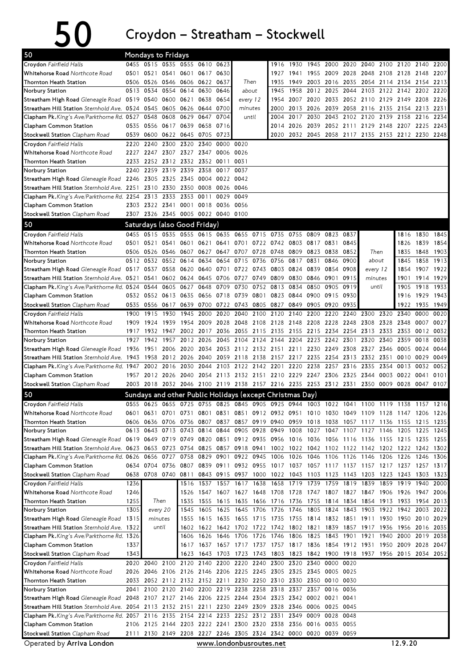## $50$  Croydon – Streatham – Stockwell

| 50                                                                                                                             | Mondays to Fridays |                                    |          |                          |                |                        |                                                                                           |           |           |                          |                |                     |                                    |                     |                |                     |                                                           |              |
|--------------------------------------------------------------------------------------------------------------------------------|--------------------|------------------------------------|----------|--------------------------|----------------|------------------------|-------------------------------------------------------------------------------------------|-----------|-----------|--------------------------|----------------|---------------------|------------------------------------|---------------------|----------------|---------------------|-----------------------------------------------------------|--------------|
| Croydon Fairfield Halls                                                                                                        |                    | 0455 0515 0535 0555 0610 0623      |          |                          |                |                        |                                                                                           |           | 1916      | 1930                     |                |                     | 1945 2000 2020 2040 2100 2120 2140 |                     |                |                     |                                                           | 2200         |
| Whitehorse Road Northcote Road                                                                                                 |                    | 0501 0521 0541 0601 0617 0630      |          |                          |                |                        |                                                                                           |           | 1927      | 1941                     |                | 1955 2009 2028      |                                    |                     | 2048 2108 2128 |                     | 2148                                                      | 2207         |
| Thornton Heath Station                                                                                                         |                    | 0506 0526 0546 0606 0622 0637      |          |                          |                |                        | Then                                                                                      |           | 1935      | 1949                     |                | 2003 2016           | 2035                               |                     |                | 2054 2114 2134 2154 |                                                           | 2213         |
| Norbury Station                                                                                                                |                    | 0513 0534                          |          | 0554 0614                | 0630           | 0646                   | about                                                                                     |           | 1945      | 1958                     |                | 2012 2025 2044      |                                    |                     |                |                     | 2103 2122 2142 2202                                       | 2220         |
| Streatham High Road Gleneagle Road 0519 0540 0600                                                                              |                    |                                    |          | 0621                     | 0638           | 0654                   | every 12                                                                                  |           | 1954      |                          |                |                     |                                    |                     |                |                     | 2007 2020 2033 2052 2110 2129 2149 2208 2226              |              |
| Streatham Hill Station Sternhold Ave. 0524 0545                                                                                |                    |                                    | 0605     | 0626                     | 0644           | 0700                   | minutes                                                                                   |           | 2000      |                          |                | 2013 2026 2039 2058 |                                    | 2116 2135 2154 2213 |                |                     |                                                           | 2231         |
| Clapham Pk.King's Ave/Parkthorne Rd. 0527 0548 0608 0629                                                                       |                    |                                    |          |                          | 0647           | 0704                   | until                                                                                     |           | 2004      |                          | 2017 2030      |                     | 2043 2102 2120 2139 2158 2216      |                     |                |                     |                                                           | 2234         |
| Clapham Common Station                                                                                                         |                    | 0535 0556 0617 0639                |          |                          |                | 0658 0716              |                                                                                           |           | 2014      | 2026                     |                |                     | 2039 2052 2111 2129 2148 2207 2225 |                     |                |                     |                                                           | 2243         |
| Stockwell Station Clapham Road                                                                                                 |                    | 0539 0600                          |          | 0622 0645                | 0705           | 0723                   |                                                                                           |           | 2020      |                          |                |                     |                                    |                     |                |                     | 2032 2045 2058 2117 2135 2153 2212 2230 2248              |              |
| Croydon Fairfield Halls                                                                                                        | 2220               | 2240                               | 2300     | 2320                     | 2340           |                        | 0000 0020                                                                                 |           |           |                          |                |                     |                                    |                     |                |                     |                                                           |              |
| Whitehorse Road Northcote Road                                                                                                 |                    | 2227 2247 2307 2327 2347 0006      |          |                          |                |                        | 0026                                                                                      |           |           |                          |                |                     |                                    |                     |                |                     |                                                           |              |
| Thornton Heath Station                                                                                                         | 2233               |                                    |          | 2252 2312 2332 2352 0011 |                |                        | 0031                                                                                      |           |           |                          |                |                     |                                    |                     |                |                     |                                                           |              |
| Norbury Station<br>Streatham High Road Gleneagle Road 2246 2305 2325                                                           | 2240               | 2259 2319                          |          | 2339<br>2345             | 2358           | 0017<br>0004 0022 0042 | 0037                                                                                      |           |           |                          |                |                     |                                    |                     |                |                     |                                                           |              |
| Streatham Hill Station Sternhold Ave. 2251 2310 2330                                                                           |                    |                                    |          | 2350                     |                | 0008 0026              | 0046                                                                                      |           |           |                          |                |                     |                                    |                     |                |                     |                                                           |              |
| Clapham Pk.King's Ave/Parkthorne Rd. 2254 2313 2333                                                                            |                    |                                    |          | 2353                     | 0011           | 0029                   | 0049                                                                                      |           |           |                          |                |                     |                                    |                     |                |                     |                                                           |              |
| Clapham Common Station                                                                                                         |                    | 2303 2322 2341 0001 0018 0036 0056 |          |                          |                |                        |                                                                                           |           |           |                          |                |                     |                                    |                     |                |                     |                                                           |              |
| Stockwell Station Clapham Road                                                                                                 |                    | 2307 2326 2345 0005 0022 0040 0100 |          |                          |                |                        |                                                                                           |           |           |                          |                |                     |                                    |                     |                |                     |                                                           |              |
| 50                                                                                                                             |                    | Saturdays (also Good Friday)       |          |                          |                |                        |                                                                                           |           |           |                          |                |                     |                                    |                     |                |                     |                                                           |              |
| Crovdon Fairfield Halls                                                                                                        | 0455               | 0515                               | 0535     | 0555                     |                |                        | 0615 0635 0655 0715 0735                                                                  |           |           | 0755                     | 0809           | 0823                | 0837                               |                     |                |                     |                                                           | 1845         |
| Whitehorse Road Northcote Road                                                                                                 |                    | 0501 0521 0541 0601 0621 0641 0701 |          |                          |                |                        |                                                                                           |           | 0722 0742 | 0803 0817 0831           |                |                     | 0845                               |                     |                | 1816<br>1826        | 1830<br>1839                                              | 1854         |
| Thornton Heath Station                                                                                                         | 0506               | 0526 0546                          |          | 0607                     |                |                        | 0627 0647 0707 0728 0748                                                                  |           |           | 0809                     |                | 0823 0838           | 0852                               |                     | Then           | 1835                | 1848                                                      | 1903         |
| Norbury Station                                                                                                                |                    | 0512 0532 0552                     |          | 0614                     | 0634           | 0654                   | 0715                                                                                      | 0736      | 0756      | 0817                     | 0831           | 0846                | 0900                               | about               |                | 1845                | 1858                                                      | 1913         |
| Streatham High Road Gleneagle Road 0517 0537 0558 0620 0640 0701 0722 0743 0803 0824 0839                                      |                    |                                    |          |                          |                |                        |                                                                                           |           |           |                          |                | 0854                | 0908                               | every 12            |                | 1854                | 1907 1922                                                 |              |
| Streatham Hill Station Sternhold Ave. 0521 0541                                                                                |                    |                                    |          | 0602 0624                |                | 0645 0706              | 0727                                                                                      |           | 0749 0809 |                          | 0830 0846      | 0901                | 0915                               | minutes             |                | 1901                | 1914                                                      | 1929         |
| Clapham Pk.King's Ave/Parkthorne Rd. 0524 0544                                                                                 |                    |                                    |          | 0605 0627                | 0648           | 0709                   | 0730                                                                                      |           | 0752 0813 | 0834                     | 0850           | 0905                | 0919                               |                     | until          | 1905                | 1918                                                      | 1933         |
| Clapham Common Station                                                                                                         |                    | 0532 0552 0613 0635 0656 0718      |          |                          |                |                        | 0739                                                                                      |           | 0801 0823 | 0844                     |                | 0900 0915           | 0930                               |                     |                | 1916                | 1929                                                      | 1943         |
| Stockwell Station Clapham Road                                                                                                 |                    |                                    |          |                          |                |                        | 0535 0556 0617 0639 0700 0722 0743 0805 0827                                              |           |           | 0849                     |                | 0905 0920           | 0935                               |                     |                | 1922                | 1935                                                      | 1949         |
| Croydon Fairfield Halls                                                                                                        | 1900               | 1915                               | 1930     | 1945                     | 2000           | 2020                   | 2040                                                                                      |           | 2100 2120 | 2140                     | 2200           | 2220                | 2240                               | 2300                | 2320           | 2340                | 0000                                                      | 0020         |
| Whitehorse Road Northcote Road                                                                                                 | 1909               | 1924                               | 1939     | 1954                     |                | 2009 2028              | 2048                                                                                      |           | 2108 2128 | 2148 2208                |                | 2228 2248           |                                    | 2308                | 2328 2348      |                     | 0007                                                      | 0027         |
| Thornton Heath Station                                                                                                         | 1917               | 1932                               | 1947     |                          | 2002 2017 2036 |                        | 2055 2115 2135                                                                            |           |           | 2155 2215 2234           |                |                     | 2254                               | 2313 2333 2353      |                |                     | 0012                                                      | 0032         |
| Norbury Station                                                                                                                | 1927               | 1942                               | 1957     | 2012                     | 2026           | 2045                   | 2104                                                                                      | 2124 2144 |           | 2204                     | 2223           | 2242 2301           |                                    | 2320                | 2340           | 2359                | 0018                                                      | 0038         |
| Streatham High Road Gleneagle Road 1936 1951 2006                                                                              |                    |                                    |          | 2020                     |                | 2034 2053              | 2112 2132 2151 2211 2230 2249 2308                                                        |           |           |                          |                |                     |                                    | 2327                | 2346 0005      |                     | 0024                                                      | 0044         |
| Streatham Hill Station Sternhold Ave. 1943 1958 2012 2026 2040 2059                                                            |                    |                                    |          |                          |                |                        | 2118 2138 2157 2217 2235 2254 2313                                                        |           |           |                          |                |                     |                                    | 2332 2351           |                | 0010                | 0029                                                      | 0049         |
| Clapham Pk.King's Ave/Parkthorne Rd. 1947 2002 2016                                                                            |                    |                                    |          | 2030 2044                |                |                        | 2103 2122 2142 2201                                                                       |           |           |                          | 2220 2238      | 2257                | 2316                               | 2335                |                | 2354 0013           | 0032                                                      | 0052         |
| Clapham Common Station                                                                                                         |                    |                                    |          |                          |                |                        | 1957 2012 2026 2040 2054 2113 2132 2151 2210 2229 2247 2306 2325                          |           |           |                          |                |                     |                                    | 2344                |                | 0003 0022           | 0041                                                      | 0101         |
| Stockwell Station Clapham Road                                                                                                 |                    |                                    |          |                          |                |                        | 2003 2018 2032 2046 2100 2119 2138 2157 2216 2235 2253 2312 2331 2350 0009 0028 0047 0107 |           |           |                          |                |                     |                                    |                     |                |                     |                                                           |              |
| 50                                                                                                                             |                    |                                    |          |                          |                |                        | Sundays and other Public Holidays (except Christmas Day)                                  |           |           |                          |                |                     |                                    |                     |                |                     |                                                           |              |
| Croydon Fairfield Halls                                                                                                        |                    |                                    |          |                          |                |                        | 0555 0625 0655 0725 0755 0825 0845 0905 0925 0944 1003 1022 1041 1100 1119 1138 1157 1216 |           |           |                          |                |                     |                                    |                     |                |                     |                                                           |              |
| Whitehorse Road Northcote Road                                                                                                 |                    |                                    |          |                          |                |                        | 0601 0631 0701 0731 0801 0831 0851 0912 0932 0951 1010 1030 1049 1109 1128 1147 1206 1226 |           |           |                          |                |                     |                                    |                     |                |                     |                                                           |              |
| Thornton Heath Station                                                                                                         |                    |                                    |          |                          |                |                        | 0606 0636 0706 0736 0807 0837 0857 0919 0940 0959 1018 1038 1057 1117 1136 1155 1215 1235 |           |           |                          |                |                     |                                    |                     |                |                     |                                                           |              |
| Norbury Station                                                                                                                |                    |                                    |          |                          |                |                        | 0613 0643 0713 0743 0814 0844 0905 0928 0949 1008 1027 1047 1107 1127 1146 1205 1225 1245 |           |           |                          |                |                     |                                    |                     |                |                     |                                                           |              |
| Streatham High Road Gleneagle Road 0619 0649 0719 0749 0820 0851 0912 0935 0956 1016 1036 1056 1116 1136 1155 1215 1235 1255   |                    |                                    |          |                          |                |                        |                                                                                           |           |           |                          |                |                     |                                    |                     |                |                     |                                                           |              |
|                                                                                                                                |                    |                                    |          |                          |                |                        |                                                                                           |           |           |                          |                |                     |                                    |                     |                |                     |                                                           |              |
| Clapham Pk.King's Ave/Parkthorne Rd. 0626 0656 0727 0758 0829 0901 0922 0945 1006 1026 1046 1106 1126 1146 1206 1226 1246 1306 |                    |                                    |          |                          |                |                        |                                                                                           |           |           |                          |                |                     |                                    |                     |                |                     |                                                           |              |
| Clapham Common Station                                                                                                         |                    |                                    |          |                          |                |                        | 0634 0704 0736 0807 0839 0911 0932 0955 1017 1037 1057 1117 1137 1157 1217 1237 1257 1317 |           |           |                          |                |                     |                                    |                     |                |                     |                                                           |              |
| Stockwell Station Clapham Road                                                                                                 |                    | 0638 0708 0740 0811                |          |                          |                |                        | 0843 0915 0937 1000 1022 1043 1103 1123 1143 1203 1223 1243 1303 1323                     |           |           |                          |                |                     |                                    |                     |                |                     |                                                           |              |
| Croydon Fairfield Halls                                                                                                        | 1236<br>1246       |                                    |          | 1516                     |                | 1537 1557 1617         | 1526 1547 1607 1627 1648 1708                                                             |           | 1638 1658 | 1719 1739 1759 1819 1839 |                |                     |                                    |                     |                |                     | 1859 1919 1940<br>1728 1747 1807 1827 1847 1906 1926 1947 | 2000         |
| Whitehorse Road Northcote Road<br>Thornton Heath Station                                                                       | 1255               |                                    | Then     | 1535                     |                | 1555 1615 1635         |                                                                                           |           | 1656 1716 |                          |                |                     |                                    |                     |                |                     | 1736 1755 1814 1834 1854 1913 1933 1954                   | 2006<br>2013 |
| Norbury Station                                                                                                                | 1305               |                                    | every 20 | 1545                     | 1605           |                        | 1625 1645                                                                                 |           | 1706 1726 |                          | 1746 1805 1824 |                     | 1843 1903                          |                     | 1922 1942      |                     | 2003                                                      | 2022         |
| Streatham High Road Gleneagle Road                                                                                             | 1315               | minutes                            |          |                          |                |                        | 1555 1615 1635 1655 1715 1735 1755 1814 1832 1851 1911 1930 1950 2010 2029                |           |           |                          |                |                     |                                    |                     |                |                     |                                                           |              |
| Streatham Hill Station Sternhold Ave. 1322                                                                                     |                    | until                              |          |                          |                |                        | 1602 1622 1642 1702 1722 1742 1802 1821 1839 1857 1917 1936 1956 2016 2035                |           |           |                          |                |                     |                                    |                     |                |                     |                                                           |              |
| <b>Clapham Pk.</b> King's Ave/Parkthorne Rd. 1326                                                                              |                    |                                    |          |                          |                |                        | 1606 1626 1646 1706 1726 1746 1806 1825 1843 1901 1921                                    |           |           |                          |                |                     |                                    |                     |                |                     | 1940 2000 2019                                            | 2038         |
| Clapham Common Station                                                                                                         | 1337               |                                    |          |                          |                |                        | 1617 1637 1657 1717 1737 1757 1817 1836 1854 1912 1931                                    |           |           |                          |                |                     |                                    |                     |                |                     | 1950 2009 2028 2047                                       |              |
| Stockwell Station Clapham Road                                                                                                 | 1343               |                                    |          |                          |                | 1623 1643 1703         | 1723                                                                                      |           |           |                          |                |                     |                                    |                     |                |                     | 1743 1803 1823 1842 1900 1918 1937 1956 2015 2034 2052    |              |
| Croydon Fairfield Halls                                                                                                        |                    | 2020 2040                          |          |                          |                |                        | 2100 2120 2140 2200 2220 2240 2300 2320 2340                                              |           |           |                          |                | 0000                | 0020                               |                     |                |                     |                                                           |              |
| Whitehorse Road Northcote Road                                                                                                 |                    |                                    |          |                          |                |                        | 2026 2046 2106 2126 2146 2206 2225 2245 2305 2325 2345 0005 0025                          |           |           |                          |                |                     |                                    |                     |                |                     |                                                           |              |
| Thornton Heath Station                                                                                                         |                    |                                    |          |                          |                |                        | 2033 2052 2112 2132 2152 2211 2230 2250 2310 2330 2350 0010 0030                          |           |           |                          |                |                     |                                    |                     |                |                     |                                                           |              |
| Norbury Station                                                                                                                |                    |                                    |          |                          |                |                        | 2041 2100 2120 2140 2200 2219 2238 2258 2318 2337 2357 0016 0036                          |           |           |                          |                |                     |                                    |                     |                |                     |                                                           |              |
| Streatham High Road Gleneagle Road 2048 2107 2127 2146 2206 2225 2244 2304 2323 2342 0002 0021 0041                            |                    |                                    |          |                          |                |                        |                                                                                           |           |           |                          |                |                     |                                    |                     |                |                     |                                                           |              |
| Streatham Hill Station Sternhold Ave. 2054 2113 2132 2151                                                                      |                    |                                    |          |                          |                |                        | 2211 2230 2249 2309 2328 2346 0006 0025 0045                                              |           |           |                          |                |                     |                                    |                     |                |                     |                                                           |              |
| Clapham Pk.King's Ave/Parkthorne Rd. 2057 2116 2135 2154 2214 2233 2252 2312 2331                                              |                    |                                    |          |                          |                |                        |                                                                                           |           |           |                          |                | 2349 0009 0028 0048 |                                    |                     |                |                     |                                                           |              |
| Clapham Common Station                                                                                                         |                    |                                    |          |                          |                |                        | 2106 2125 2144 2203 2222 2241 2300 2320 2338 2356 0016 0035 0055                          |           |           |                          |                |                     |                                    |                     |                |                     |                                                           |              |
| Stockwell Station Clapham Road                                                                                                 |                    |                                    |          |                          |                |                        | 2111 2130 2149 2208 2227 2246 2305 2324 2342 0000 0020 0039 0059                          |           |           |                          |                |                     |                                    |                     |                |                     |                                                           |              |

Operated by Arriva London

www.londonbusroutes.net 12.9.20